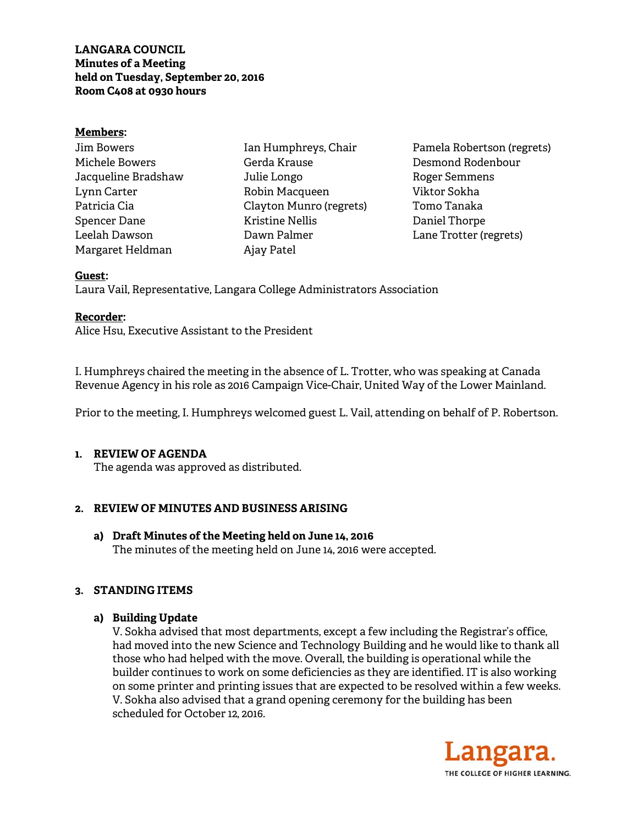# **LANGARA COUNCIL Minutes of a Meeting held on Tuesday, September 20, 2016 Room C408 at 0930 hours**

#### **Members:**

| Jim Bowers          |
|---------------------|
| Michele Bowers      |
| Jacqueline Bradshaw |
| Lynn Carter         |
| Patricia Cia        |
| Spencer Dane        |
| Leelah Dawson       |
| Margaret Heldman    |

Ian Humphreys, Chair Gerda Krause Julie Longo Robin Macqueen Clayton Munro (regrets) Kristine Nellis Dawn Palmer Ajay Patel

Pamela Robertson (regrets) Desmond Rodenbour Roger Semmens Viktor Sokha Tomo Tanaka Daniel Thorpe Lane Trotter (regrets)

#### **Guest:**

Laura Vail, Representative, Langara College Administrators Association

#### **Recorder:**

Alice Hsu, Executive Assistant to the President

I. Humphreys chaired the meeting in the absence of L. Trotter, who was speaking at Canada Revenue Agency in his role as 2016 Campaign Vice-Chair, United Way of the Lower Mainland.

Prior to the meeting, I. Humphreys welcomed guest L. Vail, attending on behalf of P. Robertson.

#### **1. REVIEW OF AGENDA**

The agenda was approved as distributed.

# **2. REVIEW OF MINUTES AND BUSINESS ARISING**

**a) Draft Minutes of the Meeting held on June 14, 2016**  The minutes of the meeting held on June 14, 2016 were accepted.

# **3. STANDING ITEMS**

# **a) Building Update**

V. Sokha advised that most departments, except a few including the Registrar's office, had moved into the new Science and Technology Building and he would like to thank all those who had helped with the move. Overall, the building is operational while the builder continues to work on some deficiencies as they are identified. IT is also working on some printer and printing issues that are expected to be resolved within a few weeks. V. Sokha also advised that a grand opening ceremony for the building has been scheduled for October 12, 2016.

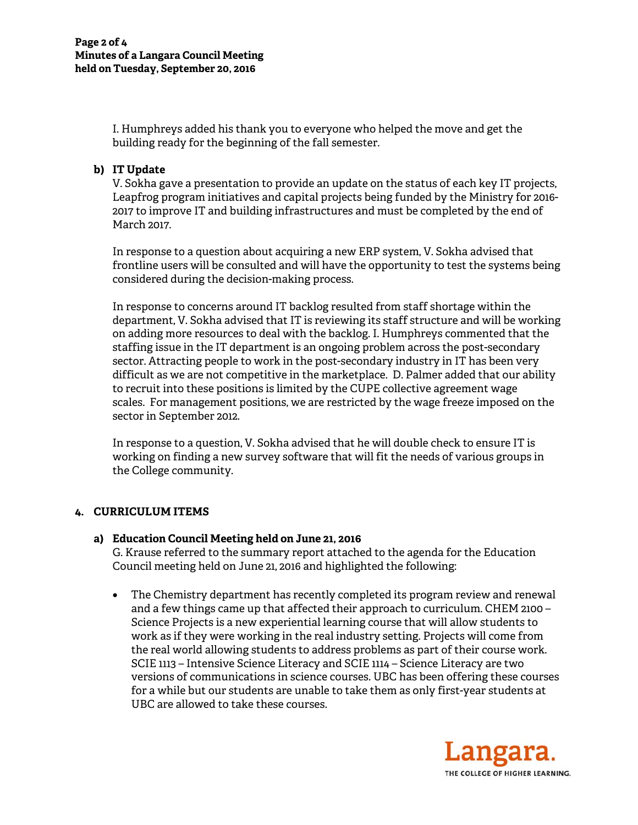I. Humphreys added his thank you to everyone who helped the move and get the building ready for the beginning of the fall semester.

# **b) IT Update**

V. Sokha gave a presentation to provide an update on the status of each key IT projects, Leapfrog program initiatives and capital projects being funded by the Ministry for 2016- 2017 to improve IT and building infrastructures and must be completed by the end of March 2017.

In response to a question about acquiring a new ERP system, V. Sokha advised that frontline users will be consulted and will have the opportunity to test the systems being considered during the decision-making process.

In response to concerns around IT backlog resulted from staff shortage within the department, V. Sokha advised that IT is reviewing its staff structure and will be working on adding more resources to deal with the backlog. I. Humphreys commented that the staffing issue in the IT department is an ongoing problem across the post-secondary sector. Attracting people to work in the post-secondary industry in IT has been very difficult as we are not competitive in the marketplace. D. Palmer added that our ability to recruit into these positions is limited by the CUPE collective agreement wage scales. For management positions, we are restricted by the wage freeze imposed on the sector in September 2012.

In response to a question, V. Sokha advised that he will double check to ensure IT is working on finding a new survey software that will fit the needs of various groups in the College community.

# **4. CURRICULUM ITEMS**

# **a) Education Council Meeting held on June 21, 2016**

G. Krause referred to the summary report attached to the agenda for the Education Council meeting held on June 21, 2016 and highlighted the following:

• The Chemistry department has recently completed its program review and renewal and a few things came up that affected their approach to curriculum. CHEM 2100 – Science Projects is a new experiential learning course that will allow students to work as if they were working in the real industry setting. Projects will come from the real world allowing students to address problems as part of their course work. SCIE 1113 – Intensive Science Literacy and SCIE 1114 – Science Literacy are two versions of communications in science courses. UBC has been offering these courses for a while but our students are unable to take them as only first-year students at UBC are allowed to take these courses.

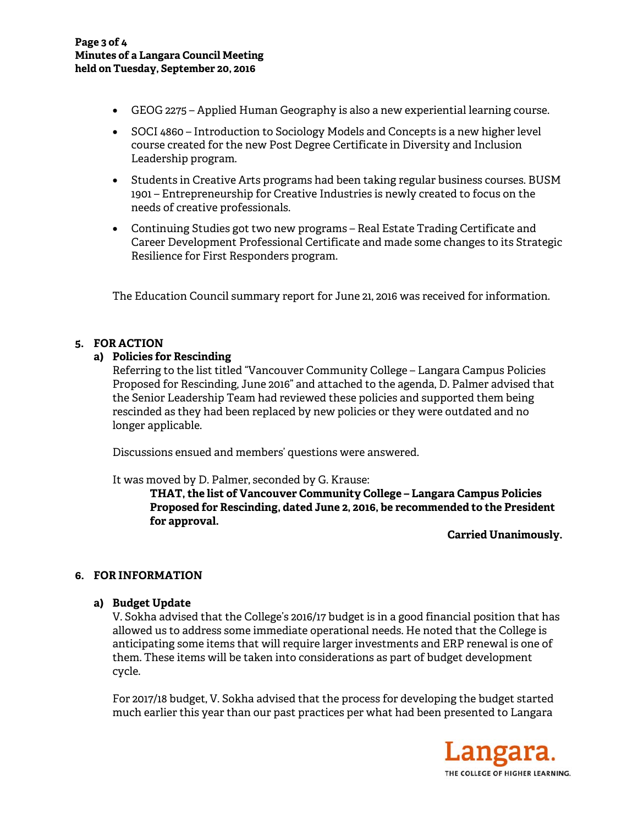- GEOG 2275 Applied Human Geography is also a new experiential learning course.
- SOCI 4860 Introduction to Sociology Models and Concepts is a new higher level course created for the new Post Degree Certificate in Diversity and Inclusion Leadership program.
- Students in Creative Arts programs had been taking regular business courses. BUSM 1901 – Entrepreneurship for Creative Industries is newly created to focus on the needs of creative professionals.
- Continuing Studies got two new programs Real Estate Trading Certificate and Career Development Professional Certificate and made some changes to its Strategic Resilience for First Responders program.

The Education Council summary report for June 21, 2016 was received for information.

# **5. FOR ACTION**

# **a) Policies for Rescinding**

Referring to the list titled "Vancouver Community College – Langara Campus Policies Proposed for Rescinding, June 2016" and attached to the agenda, D. Palmer advised that the Senior Leadership Team had reviewed these policies and supported them being rescinded as they had been replaced by new policies or they were outdated and no longer applicable.

Discussions ensued and members' questions were answered.

It was moved by D. Palmer, seconded by G. Krause:

**THAT, the list of Vancouver Community College – Langara Campus Policies Proposed for Rescinding, dated June 2, 2016, be recommended to the President for approval.** 

**Carried Unanimously.** 

# **6. FOR INFORMATION**

**a) Budget Update** 

V. Sokha advised that the College's 2016/17 budget is in a good financial position that has allowed us to address some immediate operational needs. He noted that the College is anticipating some items that will require larger investments and ERP renewal is one of them. These items will be taken into considerations as part of budget development cycle.

For 2017/18 budget, V. Sokha advised that the process for developing the budget started much earlier this year than our past practices per what had been presented to Langara